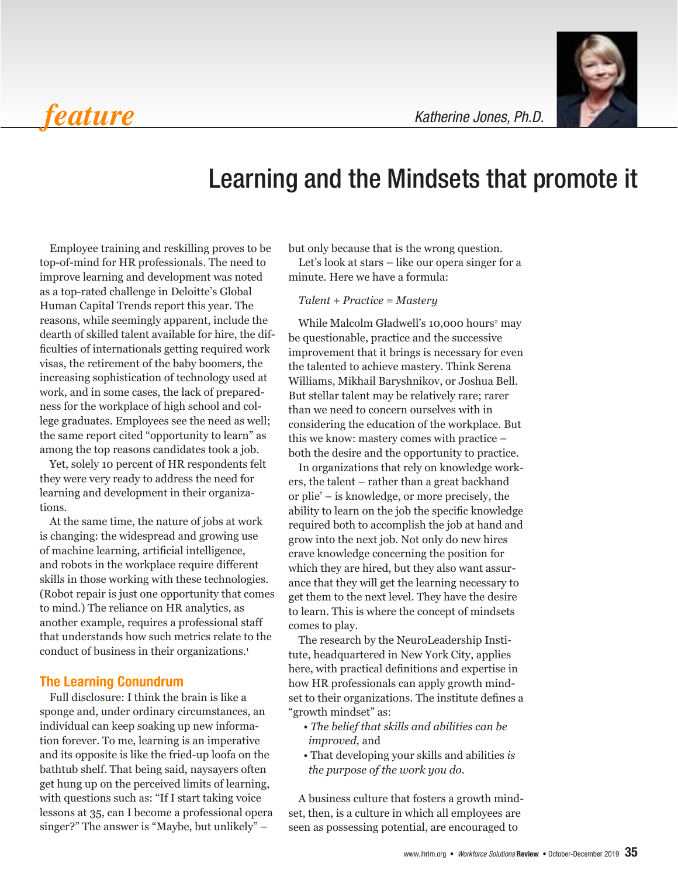*feature*



*Katherine Jones, Ph.D.*

# Learning and the Mindsets that promote it

Employee training and reskilling proves to be top-of-mind for HR professionals. The need to improve learning and development was noted as a top-rated challenge in Deloitte's Global  $T_{\alpha}$ Human Capital Trends report this year. The  $I = \mu$  serve to eliminate redundance  $\mu$ reasons, while seemingly apparent, include the dearth of skilled talent available for hire, the difficulties of internationals getting required work visas, the retirement of the baby boomers, the increasing sophistication of technology used at Williams. Mikha work, and in some cases, the lack of preparedness for the workplace of high school and college graduates. Employees see the need as well; the same report cited "opportunity to learn" as among the top reasons candidates took a job.

Yet, solely 10 percent of HR respondents felt they were very ready to address the need for  $\frac{1}{\text{eas}}$  in the development in their organiza-<br>or plie. tions.

At the same time, the nature of jobs at work is changing: the widespread and growing use of machine learning, artificial intelligence, and robots in the workplace require different skills in those working with these technologies. (Robot repair is just one opportunity that comes to mind.) The reliance on HR analytics, as another example, requires a professional staff that understands how such metrics relate to the conduct of business in their organizations.<sup>1</sup> s how such metrics relate to the  $\frac{1}{\pi}$  The research by the NeuroLeadership Insti-

### The Learning Conundrum

Full disclosure: I think the brain is like a sponge and, under ordinary circumstances, an individual can keep soaking up new information forever. To me, learning is an imperative and its opposite is like the fried-up loofa on the bathtub shelf. That being said, naysayers often get hung up on the perceived limits of learning, with questions such as: "If I start taking voice lessons at 35, can I become a professional opera singer?" The answer is "Maybe, but unlikely" –

heta in the wrong question. The shall the share it all to get that is the wrong question.

HR professionals. The need to Let's look at stars – like our opera singer for a the gand development was noted minute. Here we have a formula:

### *Talent + Practice = Mastery*

emingly apparent, include the while Malcolm Gladwell's 10,000 hours<sup>2</sup> may be also that corporations requires that corporations requires that corporations requires that contains the corporations of  $\mu$ raient available for nire, the dif-be questionable, practice and the successive<br>nationals getting required work improvement that it brings is necessary for even the talented to achieve mastery. Think Serena themselves as central the talented to achieve mastery. Think Serena Williams, Mikhail Baryshnikov, or Joshua Bell. ) But stellar talent may be relatively rare; rarer splace of high school and col-<br>than we need to concern ourselves with in Imployees see the need as well; considering the education of the workplace. But  $\text{cuted}$  "opportunity to learn" as this we know: mastery comes with practice  $$ easons candidates took a job. both the desire and the opportunity to practice.

ercent of HR respondents felt in organizations that rely on knowledge work-<br>eady to address the need for ers, the talent – rather than a great backhand or plie' – is knowledge, or more precisely, the ability to learn on the job the specific knowledge ne, the nature of jobs at work required both to accomplish the job at hand and widespread and growing use grow into the next job. Not only do new hires ing, artificial intelligence, crave knowledge concerning the position for e workplace require different which they are hired, but they also want assurpriving with these technologies. ance that they will get the learning necessary to with an approximate the para ust one opportunity that comes error them to the next level. They have the desire  $\frac{1}{2}$ to learn. This is where the concept of mindsets comes to play. to high even to day to determine the set of  $\mathcal{L}$ 

ess in their organizations.<sup>1</sup> tute, headquartered in New York City, applies here, with practical definitions and expertise in how HR professionals can apply growth mindset to their organizations. The institute defines a "growth mindset" as:

- *The belief that skills and abilities can be improved,* and
- That developing your skills and abilities *is the purpose of the work you do.*

A business culture that fosters a growth mindset, then, is a culture in which all employees are seen as possessing potential, are encouraged to